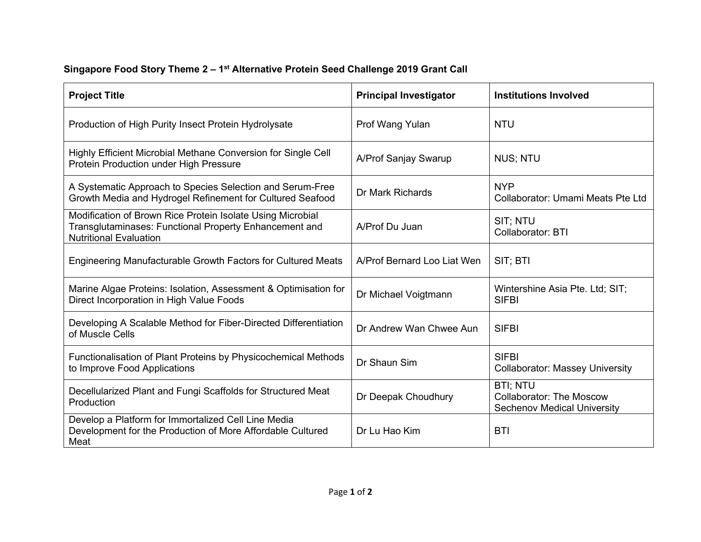## **Singapore Food Story Theme 2 – 1st Alternative Protein Seed Challenge 2019 Grant Call**

| <b>Project Title</b>                                                                                                                                  | <b>Principal Investigator</b> | <b>Institutions Involved</b>                                                             |
|-------------------------------------------------------------------------------------------------------------------------------------------------------|-------------------------------|------------------------------------------------------------------------------------------|
| Production of High Purity Insect Protein Hydrolysate                                                                                                  | Prof Wang Yulan               | <b>NTU</b>                                                                               |
| Highly Efficient Microbial Methane Conversion for Single Cell<br>Protein Production under High Pressure                                               | A/Prof Sanjay Swarup          | <b>NUS; NTU</b>                                                                          |
| A Systematic Approach to Species Selection and Serum-Free<br>Growth Media and Hydrogel Refinement for Cultured Seafood                                | Dr Mark Richards              | <b>NYP</b><br>Collaborator: Umami Meats Pte Ltd                                          |
| Modification of Brown Rice Protein Isolate Using Microbial<br>Transglutaminases: Functional Property Enhancement and<br><b>Nutritional Evaluation</b> | A/Prof Du Juan                | SIT; NTU<br><b>Collaborator: BTI</b>                                                     |
| Engineering Manufacturable Growth Factors for Cultured Meats                                                                                          | A/Prof Bernard Loo Liat Wen   | SIT; BTI                                                                                 |
| Marine Algae Proteins: Isolation, Assessment & Optimisation for<br>Direct Incorporation in High Value Foods                                           | Dr Michael Voigtmann          | Wintershine Asia Pte. Ltd; SIT;<br><b>SIFBI</b>                                          |
| Developing A Scalable Method for Fiber-Directed Differentiation<br>of Muscle Cells                                                                    | Dr Andrew Wan Chwee Aun       | <b>SIFBI</b>                                                                             |
| Functionalisation of Plant Proteins by Physicochemical Methods<br>to Improve Food Applications                                                        | Dr Shaun Sim                  | <b>SIFBI</b><br><b>Collaborator: Massey University</b>                                   |
| Decellularized Plant and Fungi Scaffolds for Structured Meat<br>Production                                                                            | Dr Deepak Choudhury           | <b>BTI: NTU</b><br><b>Collaborator: The Moscow</b><br><b>Sechenov Medical University</b> |
| Develop a Platform for Immortalized Cell Line Media<br>Development for the Production of More Affordable Cultured<br>Meat                             | Dr Lu Hao Kim                 | <b>BTI</b>                                                                               |